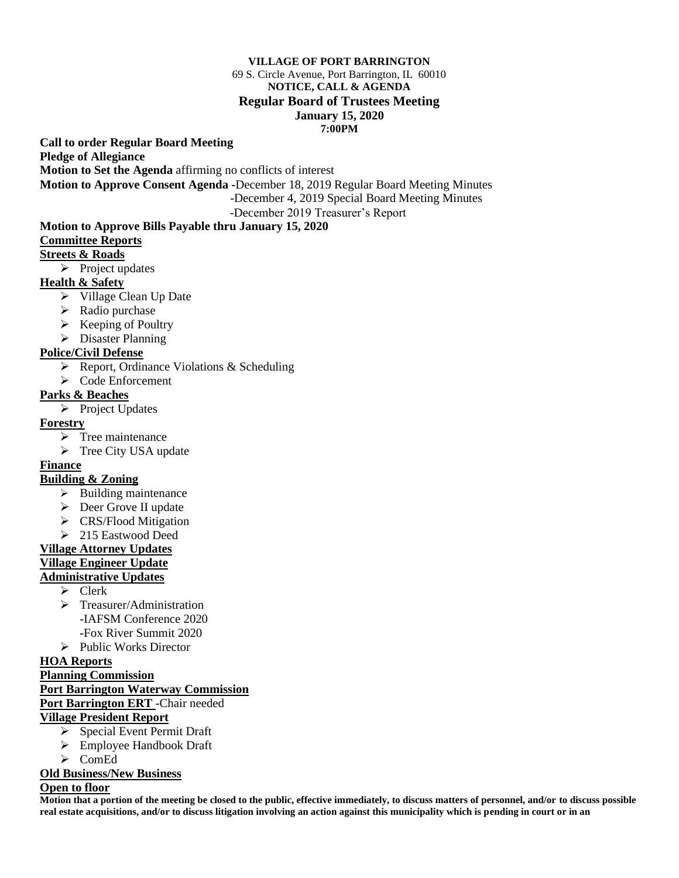#### **VILLAGE OF PORT BARRINGTON**

#### 69 S. Circle Avenue, Port Barrington, IL 60010 **NOTICE, CALL & AGENDA Regular Board of Trustees Meeting January 15, 2020 7:00PM**

**Call to order Regular Board Meeting** 

**Pledge of Allegiance**

**Motion to Set the Agenda** affirming no conflicts of interest

**Motion to Approve Consent Agenda -**December 18, 2019 Regular Board Meeting Minutes

-December 4, 2019 Special Board Meeting Minutes

-December 2019 Treasurer's Report

#### **Motion to Approve Bills Payable thru January 15, 2020**

#### **Committee Reports**

#### **Streets & Roads**

➢ Project updates

#### **Health & Safety**

- ➢ Village Clean Up Date
- $\triangleright$  Radio purchase
- ➢ Keeping of Poultry
- ➢ Disaster Planning

## **Police/Civil Defense**

- ➢ Report, Ordinance Violations & Scheduling
- ➢ Code Enforcement

#### **Parks & Beaches**

➢ Project Updates

#### **Forestry**

- ➢ Tree maintenance
- ➢ Tree City USA update

#### **Finance**

# **Building & Zoning**

- ➢ Building maintenance
- ➢ Deer Grove II update
- ➢ CRS/Flood Mitigation
- ➢ 215 Eastwood Deed

#### **Village Attorney Updates**

## **Village Engineer Update**

#### **Administrative Updates**

- ➢ Clerk
- ➢ Treasurer/Administration -IAFSM Conference 2020 -Fox River Summit 2020
- ➢ Public Works Director

#### **HOA Reports**

#### **Planning Commission**

# **Port Barrington Waterway Commission**

# **Port Barrington ERT** -Chair needed

# **Village President Report**

- ➢ Special Event Permit Draft
- ➢ Employee Handbook Draft
- ➢ ComEd

#### **Old Business/New Business**

#### **Open to floor**

**Motion that a portion of the meeting be closed to the public, effective immediately, to discuss matters of personnel, and/or to discuss possible real estate acquisitions, and/or to discuss litigation involving an action against this municipality which is pending in court or in an**